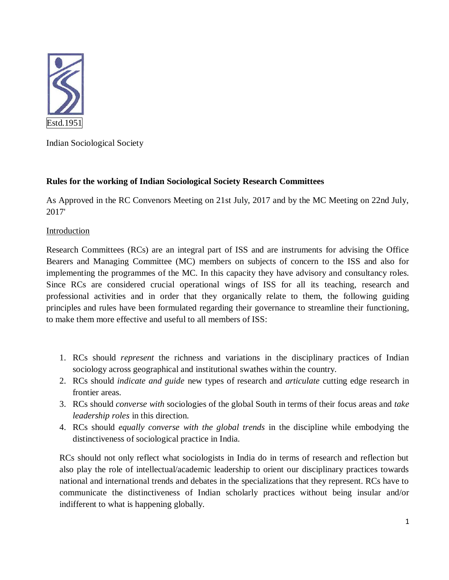

Indian Sociological Society

# **Rules for the working of Indian Sociological Society Research Committees**

As Approved in the RC Convenors Meeting on 21st July, 2017 and by the MC Meeting on 22nd July, 2017'

## Introduction

Research Committees (RCs) are an integral part of ISS and are instruments for advising the Office Bearers and Managing Committee (MC) members on subjects of concern to the ISS and also for implementing the programmes of the MC. In this capacity they have advisory and consultancy roles. Since RCs are considered crucial operational wings of ISS for all its teaching, research and professional activities and in order that they organically relate to them, the following guiding principles and rules have been formulated regarding their governance to streamline their functioning, to make them more effective and useful to all members of ISS:

- 1. RCs should *represent* the richness and variations in the disciplinary practices of Indian sociology across geographical and institutional swathes within the country.
- 2. RCs should *indicate and guide* new types of research and *articulate* cutting edge research in frontier areas.
- 3. RCs should *converse with* sociologies of the global South in terms of their focus areas and *take leadership roles* in this direction.
- 4. RCs should *equally converse with the global trends* in the discipline while embodying the distinctiveness of sociological practice in India.

RCs should not only reflect what sociologists in India do in terms of research and reflection but also play the role of intellectual/academic leadership to orient our disciplinary practices towards national and international trends and debates in the specializations that they represent. RCs have to communicate the distinctiveness of Indian scholarly practices without being insular and/or indifferent to what is happening globally.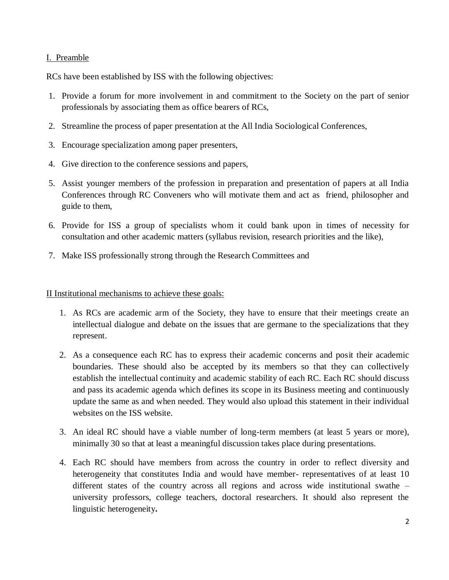#### I. Preamble

RCs have been established by ISS with the following objectives:

- 1. Provide a forum for more involvement in and commitment to the Society on the part of senior professionals by associating them as office bearers of RCs,
- 2. Streamline the process of paper presentation at the All India Sociological Conferences,
- 3. Encourage specialization among paper presenters,
- 4. Give direction to the conference sessions and papers,
- 5. Assist younger members of the profession in preparation and presentation of papers at all India Conferences through RC Conveners who will motivate them and act as friend, philosopher and guide to them,
- 6. Provide for ISS a group of specialists whom it could bank upon in times of necessity for consultation and other academic matters (syllabus revision, research priorities and the like),
- 7. Make ISS professionally strong through the Research Committees and

II Institutional mechanisms to achieve these goals:

- 1. As RCs are academic arm of the Society, they have to ensure that their meetings create an intellectual dialogue and debate on the issues that are germane to the specializations that they represent.
- 2. As a consequence each RC has to express their academic concerns and posit their academic boundaries. These should also be accepted by its members so that they can collectively establish the intellectual continuity and academic stability of each RC. Each RC should discuss and pass its academic agenda which defines its scope in its Business meeting and continuously update the same as and when needed. They would also upload this statement in their individual websites on the ISS website.
- 3. An ideal RC should have a viable number of long-term members (at least 5 years or more), minimally 30 so that at least a meaningful discussion takes place during presentations.
- 4. Each RC should have members from across the country in order to reflect diversity and heterogeneity that constitutes India and would have member- representatives of at least 10 different states of the country across all regions and across wide institutional swathe – university professors, college teachers, doctoral researchers. It should also represent the linguistic heterogeneity**.**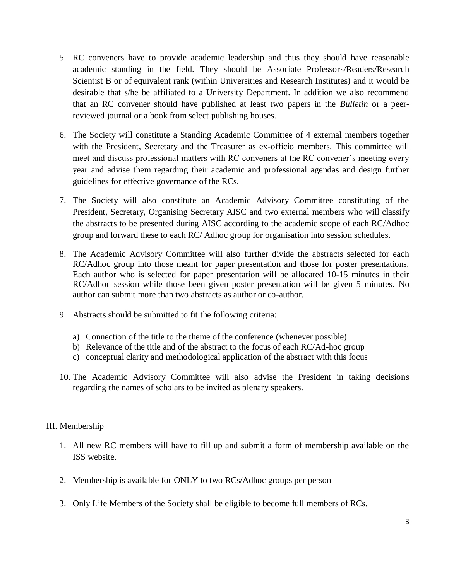- 5. RC conveners have to provide academic leadership and thus they should have reasonable academic standing in the field. They should be Associate Professors/Readers/Research Scientist B or of equivalent rank (within Universities and Research Institutes) and it would be desirable that s/he be affiliated to a University Department. In addition we also recommend that an RC convener should have published at least two papers in the *Bulletin* or a peerreviewed journal or a book from select publishing houses.
- 6. The Society will constitute a Standing Academic Committee of 4 external members together with the President, Secretary and the Treasurer as ex-officio members. This committee will meet and discuss professional matters with RC conveners at the RC convener's meeting every year and advise them regarding their academic and professional agendas and design further guidelines for effective governance of the RCs.
- 7. The Society will also constitute an Academic Advisory Committee constituting of the President, Secretary, Organising Secretary AISC and two external members who will classify the abstracts to be presented during AISC according to the academic scope of each RC/Adhoc group and forward these to each RC/ Adhoc group for organisation into session schedules.
- 8. The Academic Advisory Committee will also further divide the abstracts selected for each RC/Adhoc group into those meant for paper presentation and those for poster presentations. Each author who is selected for paper presentation will be allocated 10-15 minutes in their RC/Adhoc session while those been given poster presentation will be given 5 minutes. No author can submit more than two abstracts as author or co-author.
- 9. Abstracts should be submitted to fit the following criteria:
	- a) Connection of the title to the theme of the conference (whenever possible)
	- b) Relevance of the title and of the abstract to the focus of each RC/Ad-hoc group
	- c) conceptual clarity and methodological application of the abstract with this focus
- 10. The Academic Advisory Committee will also advise the President in taking decisions regarding the names of scholars to be invited as plenary speakers.

## III. Membership

- 1. All new RC members will have to fill up and submit a form of membership available on the ISS website.
- 2. Membership is available for ONLY to two RCs/Adhoc groups per person
- 3. Only Life Members of the Society shall be eligible to become full members of RCs.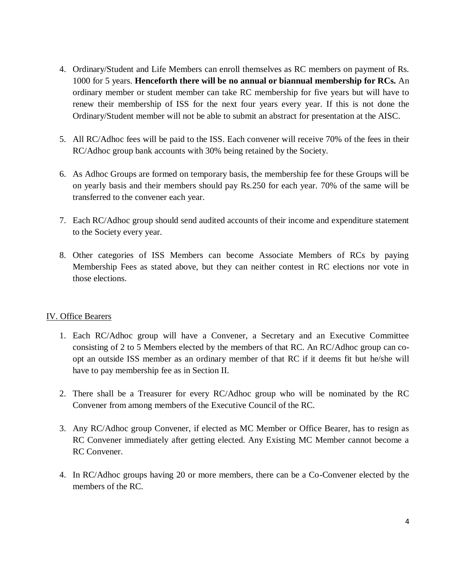- 4. Ordinary/Student and Life Members can enroll themselves as RC members on payment of Rs. 1000 for 5 years. **Henceforth there will be no annual or biannual membership for RCs.** An ordinary member or student member can take RC membership for five years but will have to renew their membership of ISS for the next four years every year. If this is not done the Ordinary/Student member will not be able to submit an abstract for presentation at the AISC.
- 5. All RC/Adhoc fees will be paid to the ISS. Each convener will receive 70% of the fees in their RC/Adhoc group bank accounts with 30% being retained by the Society.
- 6. As Adhoc Groups are formed on temporary basis, the membership fee for these Groups will be on yearly basis and their members should pay Rs.250 for each year. 70% of the same will be transferred to the convener each year.
- 7. Each RC/Adhoc group should send audited accounts of their income and expenditure statement to the Society every year.
- 8. Other categories of ISS Members can become Associate Members of RCs by paying Membership Fees as stated above, but they can neither contest in RC elections nor vote in those elections.

## IV. Office Bearers

- 1. Each RC/Adhoc group will have a Convener, a Secretary and an Executive Committee consisting of 2 to 5 Members elected by the members of that RC. An RC/Adhoc group can coopt an outside ISS member as an ordinary member of that RC if it deems fit but he/she will have to pay membership fee as in Section II.
- 2. There shall be a Treasurer for every RC/Adhoc group who will be nominated by the RC Convener from among members of the Executive Council of the RC.
- 3. Any RC/Adhoc group Convener, if elected as MC Member or Office Bearer, has to resign as RC Convener immediately after getting elected. Any Existing MC Member cannot become a RC Convener.
- 4. In RC/Adhoc groups having 20 or more members, there can be a Co-Convener elected by the members of the RC.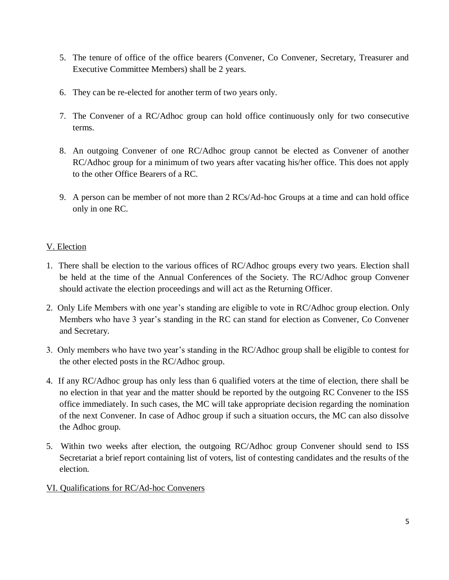- 5. The tenure of office of the office bearers (Convener, Co Convener, Secretary, Treasurer and Executive Committee Members) shall be 2 years.
- 6. They can be re-elected for another term of two years only.
- 7. The Convener of a RC/Adhoc group can hold office continuously only for two consecutive terms.
- 8. An outgoing Convener of one RC/Adhoc group cannot be elected as Convener of another RC/Adhoc group for a minimum of two years after vacating his/her office. This does not apply to the other Office Bearers of a RC.
- 9. A person can be member of not more than 2 RCs/Ad-hoc Groups at a time and can hold office only in one RC.

# V. Election

- 1. There shall be election to the various offices of RC/Adhoc groups every two years. Election shall be held at the time of the Annual Conferences of the Society. The RC/Adhoc group Convener should activate the election proceedings and will act as the Returning Officer.
- 2. Only Life Members with one year's standing are eligible to vote in RC/Adhoc group election. Only Members who have 3 year's standing in the RC can stand for election as Convener, Co Convener and Secretary.
- 3. Only members who have two year's standing in the RC/Adhoc group shall be eligible to contest for the other elected posts in the RC/Adhoc group.
- 4. If any RC/Adhoc group has only less than 6 qualified voters at the time of election, there shall be no election in that year and the matter should be reported by the outgoing RC Convener to the ISS office immediately. In such cases, the MC will take appropriate decision regarding the nomination of the next Convener. In case of Adhoc group if such a situation occurs, the MC can also dissolve the Adhoc group.
- 5. Within two weeks after election, the outgoing RC/Adhoc group Convener should send to ISS Secretariat a brief report containing list of voters, list of contesting candidates and the results of the election.
- VI. Qualifications for RC/Ad-hoc Conveners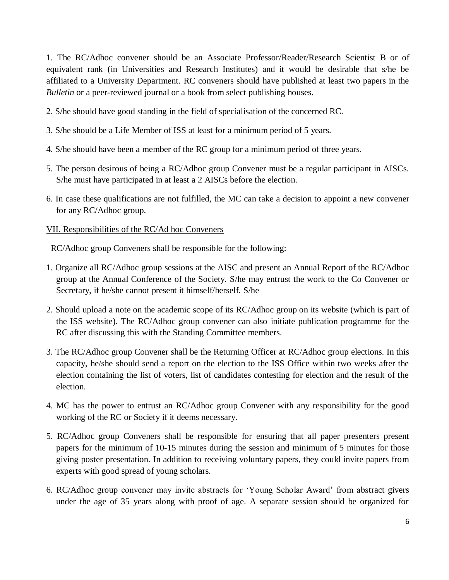1. The RC/Adhoc convener should be an Associate Professor/Reader/Research Scientist B or of equivalent rank (in Universities and Research Institutes) and it would be desirable that s/he be affiliated to a University Department. RC conveners should have published at least two papers in the *Bulletin* or a peer-reviewed journal or a book from select publishing houses.

2. S/he should have good standing in the field of specialisation of the concerned RC.

- 3. S/he should be a Life Member of ISS at least for a minimum period of 5 years.
- 4. S/he should have been a member of the RC group for a minimum period of three years.
- 5. The person desirous of being a RC/Adhoc group Convener must be a regular participant in AISCs. S/he must have participated in at least a 2 AISCs before the election.
- 6. In case these qualifications are not fulfilled, the MC can take a decision to appoint a new convener for any RC/Adhoc group.

## VII. Responsibilities of the RC/Ad hoc Conveners

RC/Adhoc group Conveners shall be responsible for the following:

- 1. Organize all RC/Adhoc group sessions at the AISC and present an Annual Report of the RC/Adhoc group at the Annual Conference of the Society. S/he may entrust the work to the Co Convener or Secretary, if he/she cannot present it himself/herself. S/he
- 2. Should upload a note on the academic scope of its RC/Adhoc group on its website (which is part of the ISS website). The RC/Adhoc group convener can also initiate publication programme for the RC after discussing this with the Standing Committee members.
- 3. The RC/Adhoc group Convener shall be the Returning Officer at RC/Adhoc group elections. In this capacity, he/she should send a report on the election to the ISS Office within two weeks after the election containing the list of voters, list of candidates contesting for election and the result of the election.
- 4. MC has the power to entrust an RC/Adhoc group Convener with any responsibility for the good working of the RC or Society if it deems necessary.
- 5. RC/Adhoc group Conveners shall be responsible for ensuring that all paper presenters present papers for the minimum of 10-15 minutes during the session and minimum of 5 minutes for those giving poster presentation. In addition to receiving voluntary papers, they could invite papers from experts with good spread of young scholars.
- 6. RC/Adhoc group convener may invite abstracts for 'Young Scholar Award' from abstract givers under the age of 35 years along with proof of age. A separate session should be organized for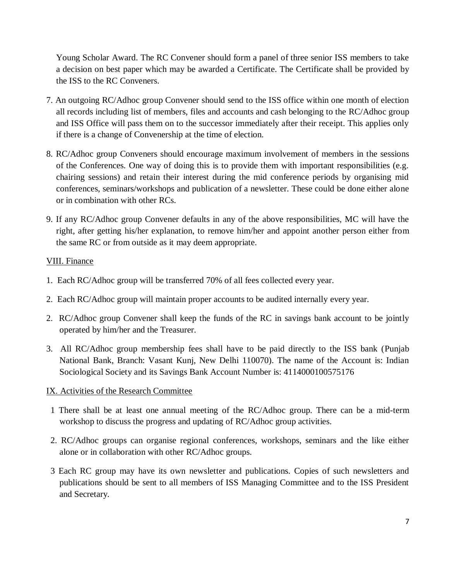Young Scholar Award. The RC Convener should form a panel of three senior ISS members to take a decision on best paper which may be awarded a Certificate. The Certificate shall be provided by the ISS to the RC Conveners.

- 7. An outgoing RC/Adhoc group Convener should send to the ISS office within one month of election all records including list of members, files and accounts and cash belonging to the RC/Adhoc group and ISS Office will pass them on to the successor immediately after their receipt. This applies only if there is a change of Convenership at the time of election.
- 8. RC/Adhoc group Conveners should encourage maximum involvement of members in the sessions of the Conferences. One way of doing this is to provide them with important responsibilities (e.g. chairing sessions) and retain their interest during the mid conference periods by organising mid conferences, seminars/workshops and publication of a newsletter. These could be done either alone or in combination with other RCs.
- 9. If any RC/Adhoc group Convener defaults in any of the above responsibilities, MC will have the right, after getting his/her explanation, to remove him/her and appoint another person either from the same RC or from outside as it may deem appropriate.

## VIII. Finance

- 1. Each RC/Adhoc group will be transferred 70% of all fees collected every year.
- 2. Each RC/Adhoc group will maintain proper accounts to be audited internally every year.
- 2. RC/Adhoc group Convener shall keep the funds of the RC in savings bank account to be jointly operated by him/her and the Treasurer.
- 3. All RC/Adhoc group membership fees shall have to be paid directly to the ISS bank (Punjab National Bank, Branch: Vasant Kunj, New Delhi 110070). The name of the Account is: Indian Sociological Society and its Savings Bank Account Number is: 4114000100575176

## IX. Activities of the Research Committee

- 1 There shall be at least one annual meeting of the RC/Adhoc group. There can be a mid-term workshop to discuss the progress and updating of RC/Adhoc group activities.
- 2. RC/Adhoc groups can organise regional conferences, workshops, seminars and the like either alone or in collaboration with other RC/Adhoc groups.
- 3 Each RC group may have its own newsletter and publications. Copies of such newsletters and publications should be sent to all members of ISS Managing Committee and to the ISS President and Secretary.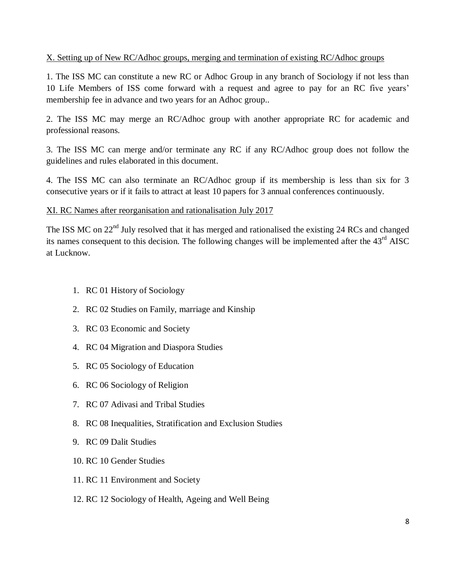#### X. Setting up of New RC/Adhoc groups, merging and termination of existing RC/Adhoc groups

1. The ISS MC can constitute a new RC or Adhoc Group in any branch of Sociology if not less than 10 Life Members of ISS come forward with a request and agree to pay for an RC five years' membership fee in advance and two years for an Adhoc group..

2. The ISS MC may merge an RC/Adhoc group with another appropriate RC for academic and professional reasons.

3. The ISS MC can merge and/or terminate any RC if any RC/Adhoc group does not follow the guidelines and rules elaborated in this document.

4. The ISS MC can also terminate an RC/Adhoc group if its membership is less than six for 3 consecutive years or if it fails to attract at least 10 papers for 3 annual conferences continuously.

#### XI. RC Names after reorganisation and rationalisation July 2017

The ISS MC on 22<sup>nd</sup> July resolved that it has merged and rationalised the existing 24 RCs and changed its names consequent to this decision. The following changes will be implemented after the  $43<sup>rd</sup>$  AISC at Lucknow.

- 1. RC 01 History of Sociology
- 2. RC 02 Studies on Family, marriage and Kinship
- 3. RC 03 Economic and Society
- 4. RC 04 Migration and Diaspora Studies
- 5. RC 05 Sociology of Education
- 6. RC 06 Sociology of Religion
- 7. RC 07 Adivasi and Tribal Studies
- 8. RC 08 Inequalities, Stratification and Exclusion Studies
- 9. RC 09 Dalit Studies
- 10. RC 10 Gender Studies
- 11. RC 11 Environment and Society
- 12. RC 12 Sociology of Health, Ageing and Well Being